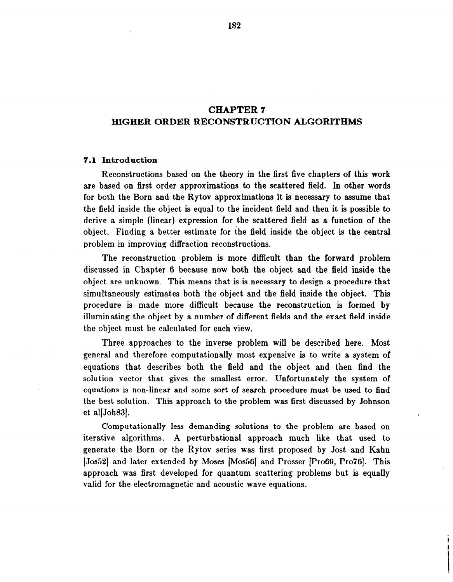# CHAPTER 7 HIGHER ORDER RECONSTRUCTION ALGORITHMS

## 7.1 Introduction

Reconstructions based on the theory in the first five chapters of this work are based on first order approximations to the scattered field. In other words for both the Born and the Rytov approximations it is necessary to assume that the field inside the object is equal to the incident field and then it is possible to derive a simple (linear) expression for the scattered field as a function of the object. Finding a better estimate for the field inside the object is the central problem in improving diffraction reconstructions.

The reconstruction problem is more difficult than the forward problem discussed in Chapter 6 because now both the object and the field inside the object are unknown. This means that is is necessary to design a procedure that simultaneously estimates both the object and the field inside the object. This procedure is made more difficult because the reconstruction is formed by illuminating the object by a number of different fields and the exact field inside the object must be calculated for each view.

Three approaches to the inverse problem will be described here. Most general and therefore computationally most expensive is to write a system of equations that describes both the field and the object and then find the solution vector that gives the smallest error. Unfortunately the system of equations is non-linear and some sort of search procedure must be used to find the best solution. This approach to the problem was first discussed by Johnson et al[Joh83].

Computationally less demanding solutions to the problem are based on iterative algorithms. A perturbational approach much like that used to generate the Born or the Rytov series was first proposed by Jost and Kahn [Jos52] and later extended by Moses (Mos56] and Prosser [Pro69, Pro76j. This approach was first developed for quantum scattering problems but is equally valid for the electromagnetic and acoustic wave equations.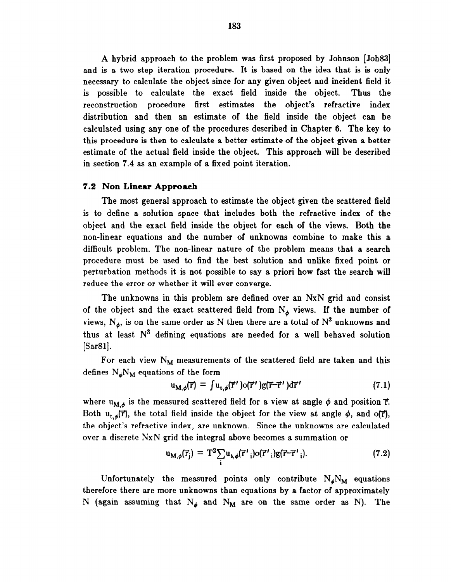A hybrid approach to the problem was first proposed by Johnson [Joh83] and is a two step iteration procedure. It is based on the idea that is is only necessary to calculate the object since for any given object and incident field it is possible to calculate the exact field inside the object. Thus the reconstruction procedure first estimates the object's refractive index distribution and then an estimate of the field inside the object can be calculated using any one of the procedures described in Chapter 6. The key to this procedure is then to calculate a better estimate of the object given a better estimate of the actual field inside the object. This approach will be described in section 7.4 as an example of a fixed point iteration.

## 7.2 Non Linear Approach

The most general approach to estimate the object given the scattered field is to define a solution space that includes both the refractive index of the object and the exact field inside the object for each of the views. Both the non-linear equations and the number of unknowns combine to make this a difficult problem. The non-linear nature of the problem means that a search procedure must be used to find the best solution and unlike fixed point or perturbation methods it is not possible to say a priori how fast the search will reduce the error or whether it will ever converge.

The unknowns in this problem are defined over an NxN grid and consist of the object and the exact scattered field from  $N_{\phi}$  views. If the number of views,  $N_{\phi}$ , is on the same order as N then there are a total of  $N^3$  unknowns and thus at least  $N<sup>3</sup>$  defining equations are needed for a well behaved solution  $[Sar81]$ .

For each view  $N_M$  measurements of the scattered field are taken and this defines  $N_{\phi}N_{\text{M}}$  equations of the form

$$
\mathbf{u}_{\mathbf{M},\phi}(\vec{\mathbf{r}}) = \int \mathbf{u}_{\mathbf{t},\phi}(\vec{\mathbf{r}}') \mathbf{o}(\vec{\mathbf{r}}') \mathbf{g}(\vec{\mathbf{r}} - \vec{\mathbf{r}}') d\vec{\mathbf{r}}'
$$
(7.1)

where  $u_{M,\phi}$  is the measured scattered field for a view at angle  $\phi$  and position  $\vec{r}$ . Both  $u_{t,\phi}(\vec{r})$ , the total field inside the object for the view at angle  $\phi$ , and o( $\vec{r}$ ), the object's refractive index, are unknown. Since the unknowns are calculated over a discrete NxN grid the integral above becomes a summation or

$$
\mathbf{u}_{\mathbf{M},\phi}(\vec{\mathbf{r}}_j) = \mathbf{T}^2 \sum_i \mathbf{u}_{t,\phi}(\vec{\mathbf{r}}')_i \mathbf{e}(\vec{\mathbf{r}} - \vec{\mathbf{r}}')_i. \tag{7.2}
$$

Unfortunately the measured points only contribute  $N_A N_M$  equations therefore there are more unknowns than equations by a factor of approximately N (again assuming that  $N_{\phi}$  and  $N_M$  are on the same order as N). The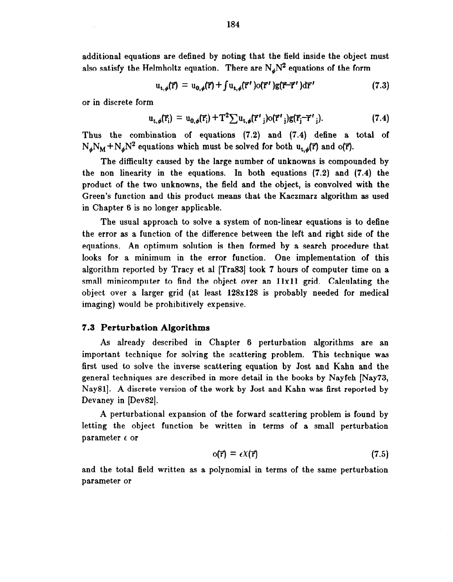additional equations are defined by noting that the field inside the object must also satisfy the Helmholtz equation. There are  $N_aN^2$  equations of the form

$$
\mathbf{u}_{\mathbf{t},\phi}(\vec{\mathbf{r}}) = \mathbf{u}_{0,\phi}(\vec{\mathbf{r}}) + \int \mathbf{u}_{\mathbf{t},\phi}(\vec{\mathbf{r}}') \mathbf{0}(\vec{\mathbf{r}}') \mathbf{g}(\vec{\mathbf{r}} - \vec{\mathbf{r}}') d\vec{\mathbf{r}}'
$$
(7.3)

or in discrete form

$$
\mathbf{u}_{t,\phi}(\vec{\mathbf{r}}_i) = \mathbf{u}_{0,\phi}(\vec{\mathbf{r}}_i) + \mathbf{T}^2 \sum \mathbf{u}_{t,\phi}(\vec{\mathbf{r}}') \mathbf{0}(\vec{\mathbf{r}}') \mathbf{g}(\vec{\mathbf{r}}_j - \vec{\mathbf{r}}')
$$
 (7.4)

Thus the combination of equations (7.2) and (7.4) define a total of  $N_A N_M + N_A N^2$  equations which must be solved for both  $u_{t,a}(\vec{r})$  and o( $\vec{r}$ ).

The difficulty caused by the large number of unknowns is compounded by the non linearity in the equations. In both equations (7.2) and (7.4) the product of the two unknowns, the field and the object, is convolved with the Green's function and this product means that the Kaczmarz algorithm as used in Chapter 6 is no longer applicable.

The usual approach to solve a system of non-linear equations is to define the error as a function of the difference between the left and right side of the equations. An optimum solution is then formed by a search procedure that looks for a minimum in the error function. One implementation of this algorithm reported by Tracy et al [Tra83] took 7 hours of computer time on a small minicomputer to find the object over an 11x11 grid. Calculating the object over a larger grid (at least 128x128 is probably needed for medical imaging) would be prohibitively expensive.

### 7.3 Perturbation Algorithms

As already described in Chapter 6 perturbation algorithms are an important technique for solving the scattering problem. This technique was first used to solve the inverse scattering equation by Jost and Kahn and the general techniques are described in more detail in the books by Nayfeh [Nay73, NayBl]. A discrete version of the work by Jost and Kahn was first reported by Devaney in [Dev82].

A perturbational expansion of the forward scattering problem is found by letting the object function be written in terms of a small perturbation parameter  $\epsilon$  or

$$
o(\vec{r}) = \epsilon \chi(\vec{r}) \tag{7.5}
$$

and the total field written as a polynomial in terms of the same perturbation parameter or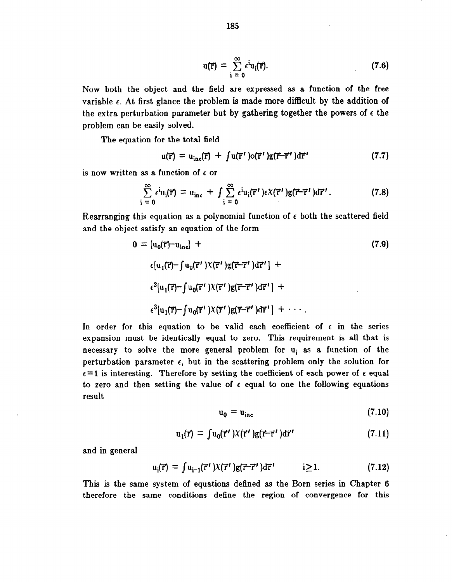$$
\mathbf{u}(\vec{\mathbf{r}}) = \sum_{i=0}^{\infty} \epsilon^{i} \mathbf{u}_{i}(\vec{\mathbf{r}}). \tag{7.6}
$$

Now both the object and the field are expressed as a function of the free variable  $\epsilon$ . At first glance the problem is made more difficult by the addition of the extra perturbation parameter but by gathering together the powers of  $\epsilon$  the problem can be easily solved.

The equation for the total field

$$
u(\vec{r}) = u_{\text{inc}}(\vec{r}) + \int u(\vec{r}') \circ (\vec{r}') g(\vec{r} - \vec{r}') d\vec{r}' \qquad (7.7)
$$

is now written as a function of  $\epsilon$  or

$$
\sum_{i=0}^{\infty} \epsilon^{i} u_{i}(\vec{r}) = u_{inc} + \int \sum_{i=0}^{\infty} \epsilon^{i} u_{i}(\vec{r}') \epsilon \chi(\vec{r}') g(\vec{r} - \vec{r}') d\vec{r}'.
$$
 (7.8)

Rearranging this equation as a polynomial function of  $\epsilon$  both the scattered field and the object satisfy an equation of the form

$$
0 = [u_0(\vec{r}) - u_{\text{inc}}] +
$$
  
\n
$$
\epsilon [u_1(\vec{r}) - \int u_0(\vec{r}') \chi(\vec{r}') g(\vec{r} - \vec{r}') d\vec{r}' +
$$
  
\n
$$
\epsilon^2 [u_1(\vec{r}) - \int u_0(\vec{r}') \chi(\vec{r}') g(\vec{r} - \vec{r}') d\vec{r}' +
$$
  
\n
$$
\epsilon^3 [u_1(\vec{r}) - \int u_0(\vec{r}') \chi(\vec{r}') g(\vec{r} - \vec{r}') d\vec{r}' + \cdots
$$
 (7.9)

In order for this equation to be valid each coefficient of  $\epsilon$  in the series expansion must be identically equal to zero. This requirement is all that is necessary to solve the more general problem for  $u_i$  as a function of the perturbation parameter  $\epsilon$ , but in the scattering problem only the solution for  $\epsilon=1$  is interesting. Therefore by setting the coefficient of each power of  $\epsilon$  equal to zero and then setting the value of  $\epsilon$  equal to one the following equations result

$$
\mathbf{u_0} = \mathbf{u}_{\text{inc}} \tag{7.10}
$$

$$
u_1(\vec{r}) = \int u_0(\vec{r}') \chi(\vec{r}') g(\vec{r} - \vec{r}') d\vec{r}' \qquad (7.11)
$$

and in general

$$
\mathbf{u}_i(\vec{\mathbf{r}}) = \int \mathbf{u}_{i-1}(\vec{\mathbf{r}}') \chi(\vec{\mathbf{r}}') g(\vec{\mathbf{r}} - \vec{\mathbf{r}}') d\vec{\mathbf{r}}' \qquad i \geq 1. \tag{7.12}
$$

This is the same system of equations defined as the Born series in Chapter 6 therefore the same conditions define the region of convergence for this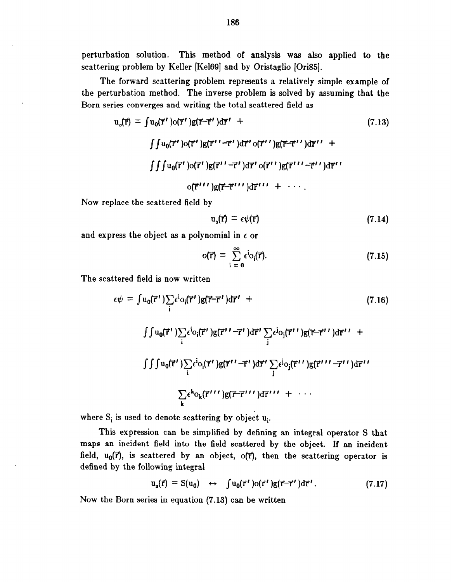perturbation solution. This method of analysis was also applied to the scattering problem by Keller [Ke169] and by Oristaglio [Ori85].

The forward scattering problem represents a relatively simple example of the perturbation method. The inverse problem is solved by assuming that the Born series converges and writing the total scattered field as

$$
u_{s}(\vec{r}) = \int u_{0}(\vec{r}') \circ (\vec{r}') g(\vec{r} - \vec{r}') d\vec{r}' +
$$
\n
$$
\int \int u_{0}(\vec{r}') \circ (\vec{r}') g(\vec{r}' - \vec{r}') d\vec{r}' \circ (\vec{r}'') g(\vec{r} - \vec{r}'') d\vec{r}' +
$$
\n
$$
\int \int u_{0}(\vec{r}') \circ (\vec{r}') g(\vec{r}' - \vec{r}') d\vec{r}' \circ (\vec{r}'') g(\vec{r}' - \vec{r}'') d\vec{r}'
$$
\n
$$
\circ (\vec{r}''') g(\vec{r} - \vec{r}''') d\vec{r}''' + \cdots
$$
\n(7.13)

Now replace the scattered field by

$$
u_s(\vec{r}) = \epsilon \psi(\vec{r}) \tag{7.14}
$$

and express the object as a polynomial in  $\epsilon$  or

$$
o(\vec{r}) = \sum_{i=0}^{\infty} \epsilon^{i} o_{i}(\vec{r}).
$$
 (7.15)

The scattered field is now written

$$
\epsilon \psi = \int u_0(\vec{r}') \sum_i \epsilon^i o_i(\vec{r}') g(\vec{r} - \vec{r}') d\vec{r}' +
$$
\n
$$
\int \int u_0(\vec{r}') \sum_i \epsilon^i o_i(\vec{r}') g(\vec{r}' - \vec{r}') d\vec{r}' \sum_j \epsilon^j o_j(\vec{r}'') g(\vec{r} - \vec{r}') d\vec{r}' +
$$
\n
$$
\int \int f u_0(\vec{r}') \sum_i \epsilon^i o_i(\vec{r}') g(\vec{r}'' - \vec{r}') d\vec{r}' \sum_j \epsilon^j o_j(\vec{r}'') g(\vec{r}''' - \vec{r}'') d\vec{r}''
$$
\n
$$
\sum_i \epsilon^i \int f(u_i(\vec{r}') \sigma(\vec{r} - \vec{r}''')) d\vec{r}''' +
$$
\n
$$
\sum_i \epsilon^i \int f(u_i(\vec{r}''')) \sigma(\vec{r} - \vec{r}''')) d\vec{r}''' +
$$
\n(7.16)

where  $S_i$  is used to denote scattering by object  $u_i$ .

k

This expression can be simplified by defining an integral operator S that maps an incident field into the field scattered by the object. If an incident field,  $u_0(\vec{r})$ , is scattered by an object,  $o(\vec{r})$ , then the scattering operator is defined by the following integral

$$
u_s(\vec{r}) = S(u_0) \leftrightarrow \int u_0(\vec{r}') \, o(\vec{r}') g(\vec{r} - \vec{r}') \, d\vec{r}' \,. \tag{7.17}
$$

Now the Born series in equation (7.13) can be written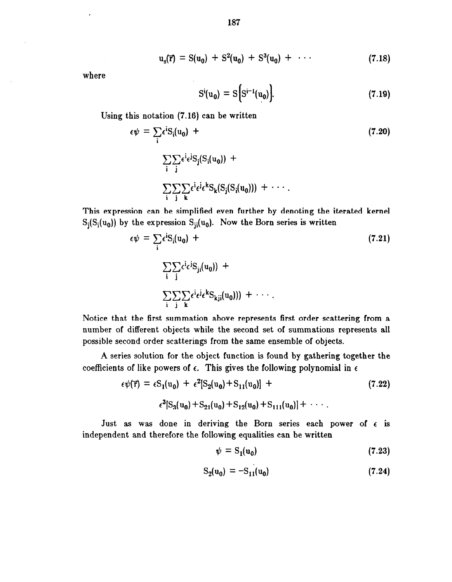$$
u_s(\vec{r}) = S(u_0) + S^2(u_0) + S^3(u_0) + \cdots \qquad (7.18)
$$

where

$$
S^{i}(u_{0}) = S[S^{i-1}(u_{0})].
$$
\n(7.19)

Using this notation (7.16) can be written

i j k

$$
\epsilon \psi = \sum_{i} \epsilon^{i} S_{i}(u_{0}) +
$$
  

$$
\sum_{i} \sum_{j} \epsilon^{i} \epsilon^{j} S_{j}(S_{i}(u_{0})) +
$$
 (7.20)

This expression can be simplified even further by denoting the iterated kernel  $S_j(S_i(u_0))$  by the expression  $S_{ji}(u_0)$ . Now the Born series is written

 $\sum\sum\sum_{\ell}e^i\epsilon^j\epsilon^{\kappa}S_{\kappa}(S_i(S_i(u_0))) + \cdots$ 

$$
\epsilon \psi = \sum_{i} \epsilon^{i} S_{i}(u_{0}) +
$$
  

$$
\sum_{i} \sum_{j} \epsilon^{i} \epsilon^{j} S_{ji}(u_{0}) +
$$
  

$$
\sum_{i} \sum_{j} \sum_{k} \epsilon^{i} \epsilon^{j} \epsilon^{k} S_{kji}(u_{0})) + \cdots
$$
 (7.21)

Notice that the first summation above represents first order scattering from a number of different objects while the second set of summations represents all possible second order scatterings from the same ensemble of objects.

A series solution for the object function is found by gathering together the coefficients of like powers of  $\epsilon$ . This gives the following polynomial in  $\epsilon$ 

$$
\epsilon \psi(\vec{r}) = \epsilon S_1(u_0) + \epsilon^2 [S_2(u_0) + S_{11}(u_0)] +
$$
  

$$
\epsilon^3 [S_3(u_0) + S_{21}(u_0) + S_{12}(u_0) + S_{111}(u_0)] + \cdots
$$
 (7.22)

Just as was done in deriving the Born series each power of  $\epsilon$  is independent and therefore the following equalities can be written

$$
\psi = \mathrm{S}_1(\mathrm{u}_0) \tag{7.23}
$$

$$
S_2(u_0) = -S_{11}(u_0) \tag{7.24}
$$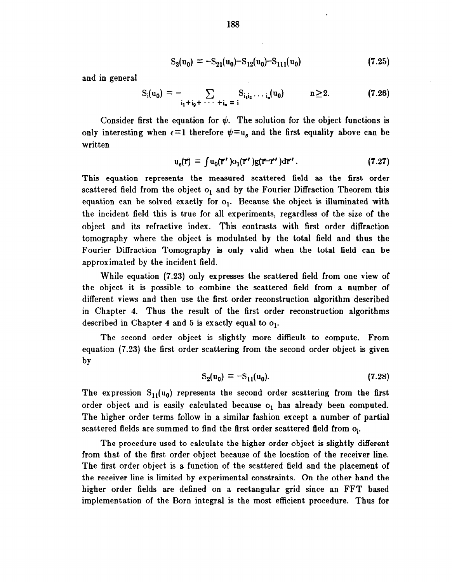$$
S_3(u_0) = -S_{21}(u_0) - S_{12}(u_0) - S_{111}(u_0)
$$
\n(7.25)

and in general

$$
S_i(u_0) = - \sum_{i_1 + i_2 + \cdots + i_n = i} S_{i_1 i_2 \cdots i_n}(u_0) \qquad n \ge 2.
$$
 (7.26)

Consider first the equation for  $\psi$ . The solution for the object functions is only interesting when  $\epsilon=1$  therefore  $\psi=u_s$  and the first equality above can be written

$$
\mathbf{u}_s(\vec{\mathbf{r}}) = \int \mathbf{u}_0(\vec{\mathbf{r}}') \mathbf{o}_1(\vec{\mathbf{r}}') g(\vec{\mathbf{r}} - \vec{\mathbf{r}}') d\vec{\mathbf{r}}' \,. \tag{7.27}
$$

This equation represents the measured scattered field as the first order scattered field from the object  $o_1$  and by the Fourier Diffraction Theorem this equation can be solved exactly for  $o_1$ . Because the object is illuminated with the incident field this is true for all experiments, regardless of the size of the object and its refractive index. This contrasts with first order diffraction tomography where the object is modulated by the total field and thus the Fourier Diffraction Tomography is only valid when the total field can be approximated by the incident field.

While equation (7.23) only expresses the scattered field from one view of the object it is possible to combine the scattered field from a number of different views and then use the first order reconstruction algorithm described in Chapter 4. Thus the result of the first order reconstruction algorithms described in Chapter 4 and 5 is exactly equal to  $o_1$ .

The second order object is slightly more difficult to compute. From equation (7.23) the first order scattering from the second order object is given bY

$$
S_2(u_0) = -S_{11}(u_0). \tag{7.28}
$$

The expression  $S_{11}(u_0)$  represents the second order scattering from the first order object and is easily calculated because  $o_1$  has already been computed. The higher order terms follow in a similar fashion except a number of partial scattered fields are summed to find the first order scattered field from  $o_i$ .

The procedure used to calculate the higher order object is slightly different from that of the first order object because of the location of the receiver line. The first order object is a function of the scattered field and the placement of the receiver line is limited by experimental constraints. On the other hand the higher order fields are defined on a rectangular grid since an FFT based implementation of the Born integral is the most efficient procedure. Thus for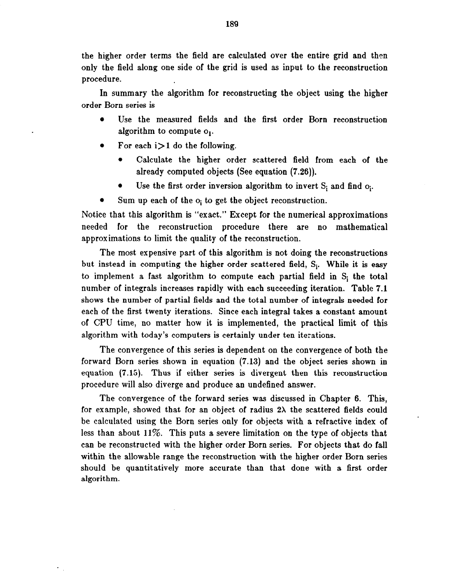the higher order terms the field are calculated over the entire grid and then only the field along one side of the grid is used as input to the reconstruction procedure.

In summary the algorithm for reconstructing the object using the higher order Born series is

- Use the measured fields and the first order Born reconstruction algorithm to compute  $o_1$ .
- For each  $i>1$  do the following.
	- 0 Calculate the higher order scattered field from each of the already computed objects (See equation (7.26)).
	- Use the first order inversion algorithm to invert  $S_i$  and find  $o_i$ .
- Sum up each of the  $o_i$  to get the object reconstruction.

Notice that this algorithm is "exact." Except for the numerical approximations needed for the reconstruction procedure there are no mathematical approximations to limit the quality of the reconstruction.

The most expensive part of this algorithm is not doing the reconstructions but instead in computing the higher order scattered field, S<sub>i</sub>. While it is easy to implement a fast algorithm to compute each partial field in  $S_i$  the total number of integrals increases rapidly with each succeeding iteration. Table 7.1 shows the number of partial fields and the total number of integrals needed for each of the first twenty iterations. Since each integral takes a constant amount of CPU time, no matter how it is implemented, the practical limit of this algorithm with today's computers is certainly under ten iterations.

The convergence of this series is dependent on the convergence of both the forward Born series shown in equation (7.13) and the object series shown in equation (7.15). Thus if either series is divergent then this reconstruction procedure will also diverge and produce an undefined answer.

The convergence of the forward series was discussed in Chapter 6. This, for example, showed that for an object of radius  $2\lambda$  the scattered fields could be calculated using the Born series only for objects with a refractive index of less than about 11%. This puts a severe limitation on the type of objects that can be reconstructed with the higher order Born series. For objects that do fall within the allowable range the reconstruction with the higher order Born series should be quantitatively more accurate than that done with a first order algorithm.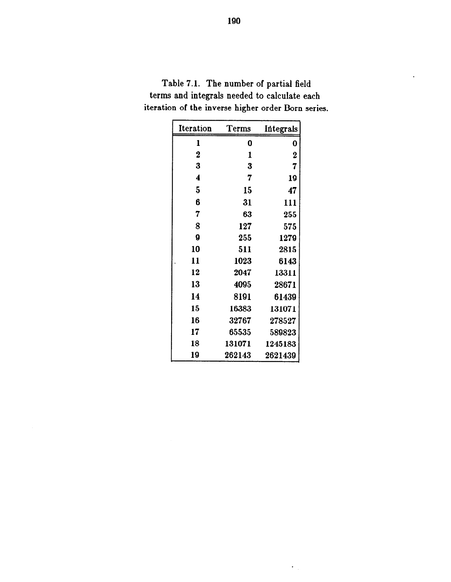| <b>Iteration</b>        | Terms        | Integrals |
|-------------------------|--------------|-----------|
| ı                       | 0            | 0         |
| $\boldsymbol{2}$        | $\mathbf{1}$ | $\bf{2}$  |
| 3                       | $\bf{3}$     | 7         |
| $\overline{\mathbf{4}}$ | 7            | 19        |
| 5                       | 15           | 47        |
| 6                       | 31           | 111       |
| 7                       | 63           | 255       |
| 8                       | 127          | 575       |
| $\boldsymbol{9}$        | 255          | 1279      |
| 10                      | 511          | 2815      |
| 11                      | 1023         | 6143      |
| 12                      | 2047         | 13311     |
| 13                      | 4095         | 28671     |
| 14                      | 8191         | 61439     |
| 15                      | 16383        | 131071    |
| 16                      | 32767        | 278527    |
| 17                      | 65535        | 589823    |
| 18                      | 131071       | 1245183   |
| 19                      | 262143       | 2621439   |

 $\epsilon_{\rm{eff}}$ 

Table 7.1. The number of partial field terms and integrals needed to calculate each iteration of the inverse higher order Born series.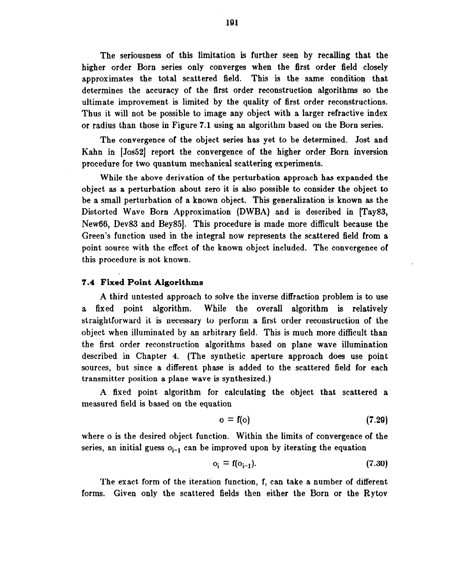The seriousness of this limitation is further seen by recalling that the higher order Born series only converges when the first order field closely approximates the total scattered field. This is the same condition that determines the accuracy of the first order reconstruction algorithms so the ultimate improvement is limited by the quality of first order reconstructions. Thus it will not be possible to image any object with a larger refractive index or radius than those in Figure 7.1 using an algorithm based on the Born series.

The convergence of the object series has yet to be determined. Jost and Kahn in [Jos52] report the convergence of the higher order Born inversion procedure for two quantum mechanical scattering experiments.

While the above derivation of the perturbation approach has expanded the object as a perturbation about zero it is also possible to consider the object to be a small perturbation of a known object. This generalization is known as the Distorted Wave Born Approximation (DWBA) and is described in (Tay83, New66, Dev83 and Bey85]. This procedure is made more difficult because the Green's function used in the integral now represents the scattered field from a point source with the effect of the known object included. The convergence of this procedure is not known.

### 7.4 Fixed Point Algorithms

A third untested approach to solve the inverse diffraction problem is to use a fixed point algorithm. While the overall algorithm is relatively straightforward it is necessary to perform a first order reconstruction of the object when illuminated by an arbitrary field. This is much more difficult than the first order reconstruction algorithms based on plane wave illumination described in Chapter 4. (The synthetic aperture approach does use point sources, but since a different phase is added to the scattered field for each transmitter position a plane wave is synthesized.)

A fixed point algorithm for calculating the object that scattered a measured field is based on the equation

$$
o = f(o) \tag{7.29}
$$

where o is the desired object function. Within the limits of convergence of the series, an initial guess  $o_{i-1}$  can be improved upon by iterating the equation

$$
o_i = f(o_{i-1}). \t\t(7.30)
$$

The exact form of the iteration function, f, can take a number of different forms. Given only the scattered fields then either the Born or the Rytov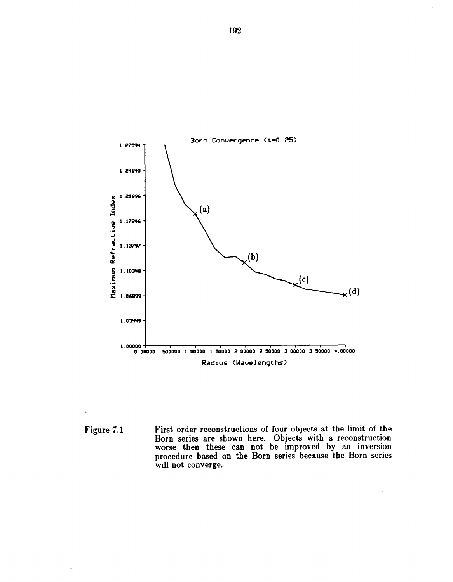

Figure 7.1 First order reconstructions of four objects at the limit of the Born series are shown here. Objects with a reconstruction worse then these can not be improved by an inversion procedure based on the Born series because the Born series will not converge.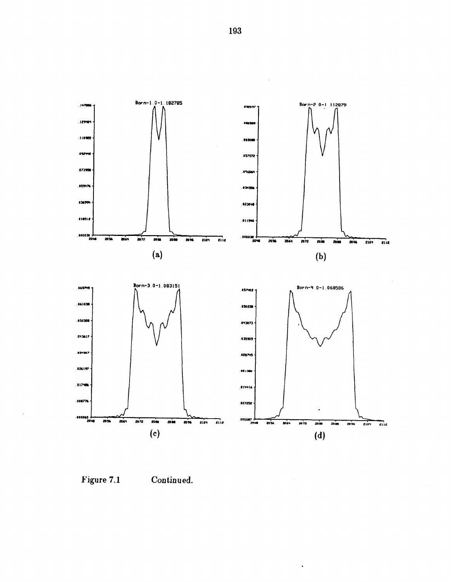

 $\bullet$ 

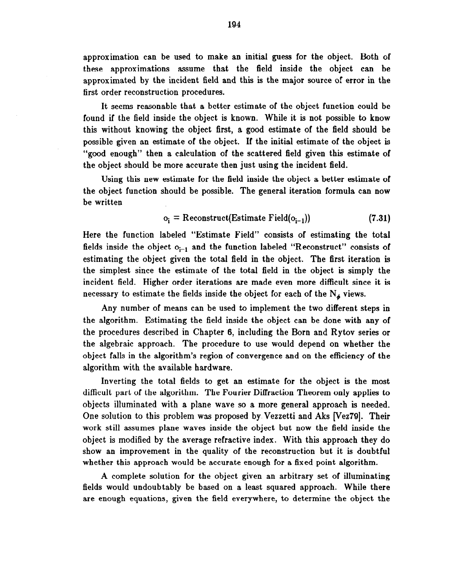approximation can be used to make an initial guess for the object. Both of these approximations assume that the field inside the object can be approximated by the incident field and this is the major source of error in the first order reconstruction procedures.

It seems reasonable that a better estimate of the object function could be found if the field inside the object is known. While it is not possible to know this without knowing the object first, a good estimate of the field should be possible given an estimate of the object. If the initial estimate of the object is "good enough" then a calculation of the scattered field given this estimate of the object should be more accurate then just using the incident field.

Using this new estimate for the field inside the object a better estimate of the object function should be possible. The general iteration formula can now be written

$$
o_i = \text{Reconstruct}(\text{Estimate Field}(o_{i-1})) \tag{7.31}
$$

Here the function labeled "Estimate Field" consists of estimating the total fields inside the object  $o_{i-1}$  and the function labeled "Reconstruct" consists of estimating the object given the total field in the object. The first iteration is the simplest since the estimate of the total field in the object is simply the incident field. Higher order iterations are made even more difficult since it is necessary to estimate the fields inside the object for each of the  $N_{\phi}$  views.

Any number of means can be used to implement the two different steps in the algorithm. Estimating the field inside the object can be done with any of the procedures described in Chapter 6, including the Born and Rytov series or the algebraic approach. The procedure to use would depend on whether the object falls in the algorithm's region of convergence and on the efficiency of the algorithm with the available hardware.

Inverting the total fields to get an estimate for the object is the most difficult part of the algorithm. The Fourier Diffraction Theorem only applies to objects illuminated with a plane wave so a more general approach is needed. One solution to this problem was proposed by.Vezzetti and Aks [vez79]. Their work still assumes plane waves inside the object but now the field inside the object is modified by the average refractive index. With this approach they do show an improvement in the quality of the reconstruction but it is doubtful whether this approach would be accurate enough for a fixed point algorithm.

A complete solution for the object given an arbitrary set of illuminating fields would undoubtably be based on a least squared approach. While there are enough equations, given the field everywhere, to determine the object the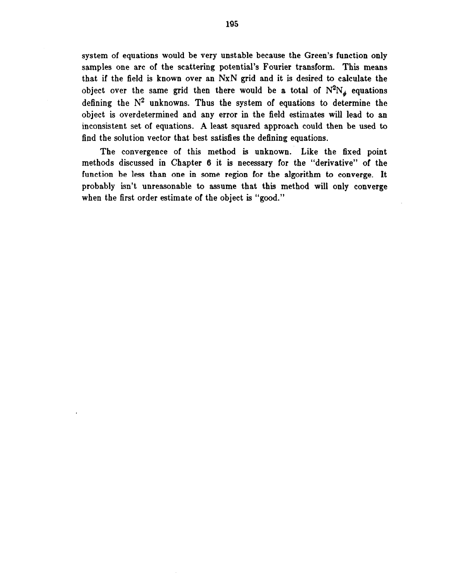system of equations would be very unstable because the Green's function only samples one arc of the scattering potential's Fourier transform. This means that if the field is known over an NxN grid and it is desired to calculate the object over the same grid then there would be a total of  $N^2N_d$  equations defining the  $N^2$  unknowns. Thus the system of equations to determine the object is overdetermined and any error in the field estimates will lead to an inconsistent set of equations. A least squared approach could then be used to find the solution vector that best satisfies the defining equations.

The convergence of this method is unknown. Like the fixed point methods discussed in Chapter 6 it is necessary for the "derivative" of the function be less than one in some region for the algorithm to converge. It probably isn't unreasonable to assume that this method will only converge when the first order estimate of the object is "good."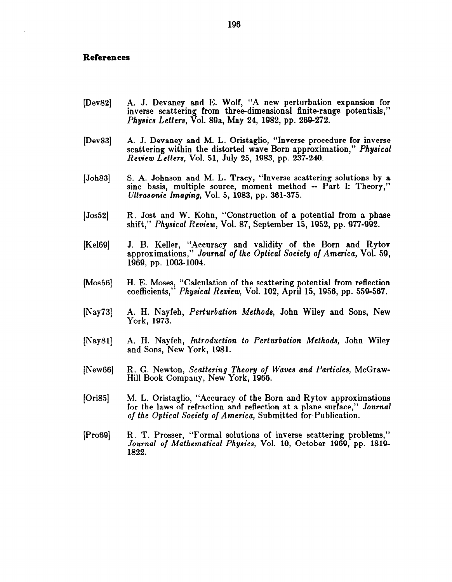#### References

- [DevS2] A. J. Devaney and E. Wolf, "A new perturbation expansion for inverse scattering from threedimensional finite-range potentials," Physics Letters, Vol. 89a, May 24, 1982, pp. 269-272.
- [Dev83] A. J. Devaney and M. L. Oristaglio, "Inverse procedure for inverse scattering within the distorted wave Born approximation," Physical Review Letters, Vol. 51, July 25, 1983, pp. 237-240.
- [ Joh83] S. A. Johnson and M. L. Tracy, "Inverse scattering solutions by a sinc basis, multiple source, moment method -- Part I: Theory," Ultrasonic Imaging, Vol. 5, 1983, pp. 361-375.
- [Jos52] R. Jost and W. Kohn, "Construction of a potential from a phase shift," Physical Review, Voi. 87, September 15, 1952, pp. 977-992.
- [Ke169] J. B. Keller, "Accuracy and validity of the Born and Rytov approximations," Journal of the Optical Society of America, Vol. 59, 1969, pp. 1003-1004.
- [Mos56] H. E. Moses, "Calculation of the scattering potential from reflection coefficients," Physical Review, Vol. 102, April 15, 1956, pp. 559-567.
- $[Nay 73]$ A. H. Nayfeh, Perturbation Methods, John Wiley and Sons, New York, 1973.
- $[Nay81]$ A. H. Nayfeh, Introduction to Perturbation Methods, John Wiley and Sons, New York, 1981.
- [New66] R. G. Newton, Scattering Theory of Waves and Particles, McGraw-Hill Book Company, New York, 1966.
- $[Ori85]$ M. L. Oristaglio, "Accuracy of the Born and Rytov approximations for the laws of refraction and reflection at a plane surface," Journal of the Optical Society of America, Submitted for Publication.
- [Pro69] R. T. Prosser, "Formal solutions of inverse scattering problems," Journal of Mathematical Physics, Vol. 10, October 1969, pp. 1819- 1822.